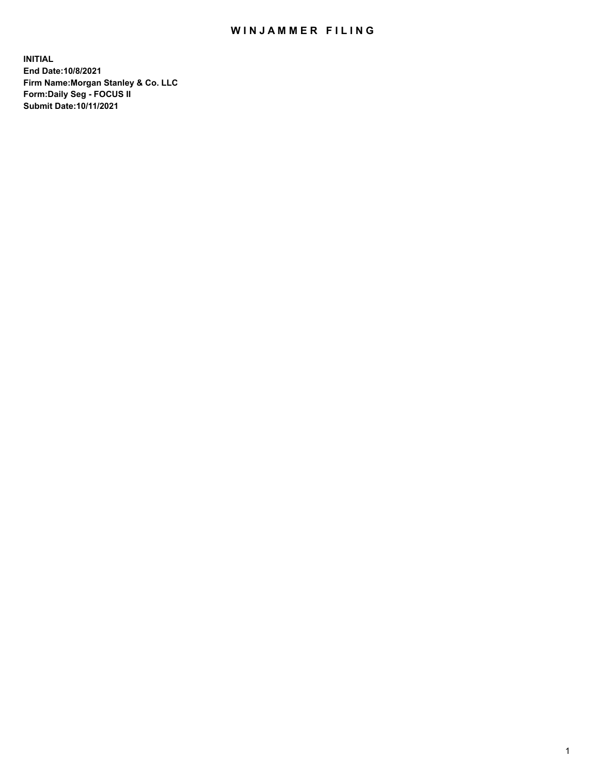## WIN JAMMER FILING

**INITIAL End Date:10/8/2021 Firm Name:Morgan Stanley & Co. LLC Form:Daily Seg - FOCUS II Submit Date:10/11/2021**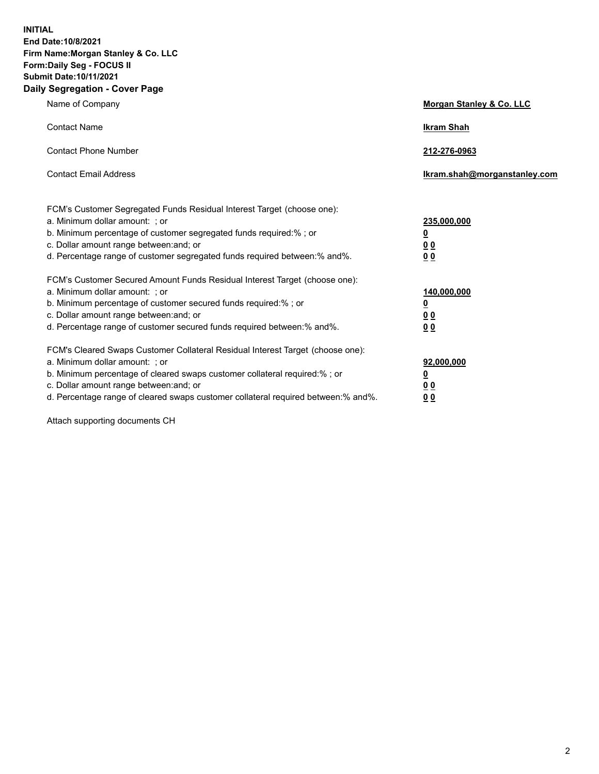**INITIAL End Date:10/8/2021 Firm Name:Morgan Stanley & Co. LLC Form:Daily Seg - FOCUS II Submit Date:10/11/2021 Daily Segregation - Cover Page**

| Name of Company                                                                                                                                                                                                                                                                                                                | Morgan Stanley & Co. LLC                                |
|--------------------------------------------------------------------------------------------------------------------------------------------------------------------------------------------------------------------------------------------------------------------------------------------------------------------------------|---------------------------------------------------------|
| <b>Contact Name</b>                                                                                                                                                                                                                                                                                                            | <b>Ikram Shah</b>                                       |
| <b>Contact Phone Number</b>                                                                                                                                                                                                                                                                                                    | 212-276-0963                                            |
| <b>Contact Email Address</b>                                                                                                                                                                                                                                                                                                   | Ikram.shah@morganstanley.com                            |
| FCM's Customer Segregated Funds Residual Interest Target (choose one):<br>a. Minimum dollar amount: ; or<br>b. Minimum percentage of customer segregated funds required:% ; or<br>c. Dollar amount range between: and; or<br>d. Percentage range of customer segregated funds required between:% and%.                         | 235,000,000<br><u>0</u><br>0 <sup>0</sup><br>00         |
| FCM's Customer Secured Amount Funds Residual Interest Target (choose one):<br>a. Minimum dollar amount: ; or<br>b. Minimum percentage of customer secured funds required:%; or<br>c. Dollar amount range between: and; or<br>d. Percentage range of customer secured funds required between:% and%.                            | 140,000,000<br><u>0</u><br><u>0 0</u><br>0 <sub>0</sub> |
| FCM's Cleared Swaps Customer Collateral Residual Interest Target (choose one):<br>a. Minimum dollar amount: ; or<br>b. Minimum percentage of cleared swaps customer collateral required:% ; or<br>c. Dollar amount range between: and; or<br>d. Percentage range of cleared swaps customer collateral required between:% and%. | 92,000,000<br><u>0</u><br><u>00</u><br>0 <sub>0</sub>   |

Attach supporting documents CH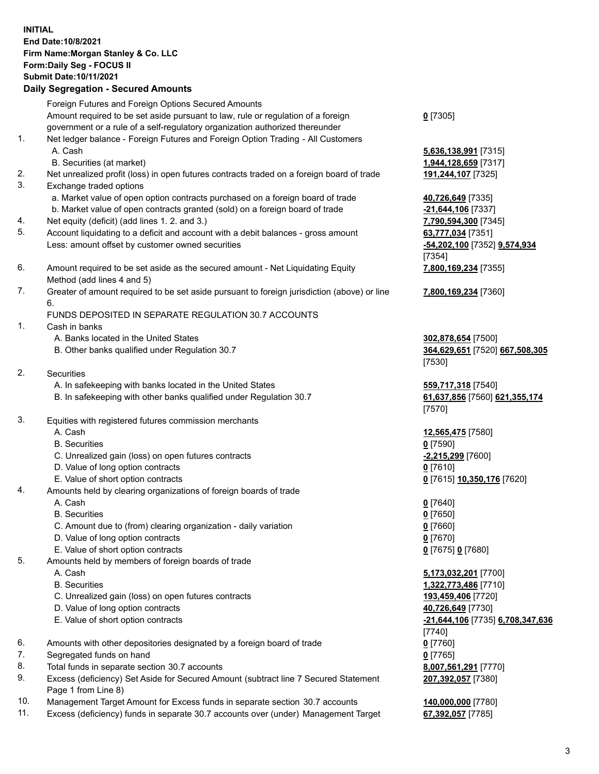## **INITIAL End Date:10/8/2021 Firm Name:Morgan Stanley & Co. LLC Form:Daily Seg - FOCUS II Submit Date:10/11/2021**

**Daily Segregation - Secured Amounts** Foreign Futures and Foreign Options Secured Amounts Amount required to be set aside pursuant to law, rule or regulation of a foreign government or a rule of a self-regulatory organization authorized thereunder 1. Net ledger balance - Foreign Futures and Foreign Option Trading - All Customers A. Cash **5,636,138,991** [7315] B. Securities (at market) **1,944,128,659** [7317] 2. Net unrealized profit (loss) in open futures contracts traded on a foreign board of trade **191,244,107** [7325] 3. Exchange traded options a. Market value of open option contracts purchased on a foreign board of trade **40,726,649** [7335] b. Market value of open contracts granted (sold) on a foreign board of trade **-21,644,106** [7337] 4. Net equity (deficit) (add lines 1. 2. and 3.) **7,790,594,300** [7345] 5. Account liquidating to a deficit and account with a debit balances - gross amount **63,777,034** [7351] Less: amount offset by customer owned securities **-54,202,100** [7352] **9,574,934** 6. Amount required to be set aside as the secured amount - Net Liquidating Equity Method (add lines 4 and 5) 7. Greater of amount required to be set aside pursuant to foreign jurisdiction (above) or line 6. FUNDS DEPOSITED IN SEPARATE REGULATION 30.7 ACCOUNTS 1. Cash in banks A. Banks located in the United States **302,878,654** [7500] B. Other banks qualified under Regulation 30.7 **364,629,651** [7520] **667,508,305** 2. Securities A. In safekeeping with banks located in the United States **559,717,318** [7540] B. In safekeeping with other banks qualified under Regulation 30.7 **61,637,856** [7560] **621,355,174** 3. Equities with registered futures commission merchants A. Cash **12,565,475** [7580] B. Securities **0** [7590] C. Unrealized gain (loss) on open futures contracts **-2,215,299** [7600] D. Value of long option contracts **0** [7610] E. Value of short option contracts **0** [7615] **10,350,176** [7620] 4. Amounts held by clearing organizations of foreign boards of trade A. Cash **0** [7640] B. Securities **0** [7650] C. Amount due to (from) clearing organization - daily variation **0** [7660] D. Value of long option contracts **0** [7670] E. Value of short option contracts **0** [7675] **0** [7680] 5. Amounts held by members of foreign boards of trade A. Cash **5,173,032,201** [7700] B. Securities **1,322,773,486** [7710] C. Unrealized gain (loss) on open futures contracts **193,459,406** [7720] D. Value of long option contracts **40,726,649** [7730] E. Value of short option contracts **-21,644,106** [7735] **6,708,347,636**

- 6. Amounts with other depositories designated by a foreign board of trade **0** [7760]
- 7. Segregated funds on hand **0** [7765]
- 8. Total funds in separate section 30.7 accounts **8,007,561,291** [7770]
- 9. Excess (deficiency) Set Aside for Secured Amount (subtract line 7 Secured Statement Page 1 from Line 8)
- 10. Management Target Amount for Excess funds in separate section 30.7 accounts **140,000,000** [7780]
- 11. Excess (deficiency) funds in separate 30.7 accounts over (under) Management Target **67,392,057** [7785]

**0** [7305]

[7354] **7,800,169,234** [7355]

**7,800,169,234** [7360]

[7530]

[7570]

[7740] **207,392,057** [7380]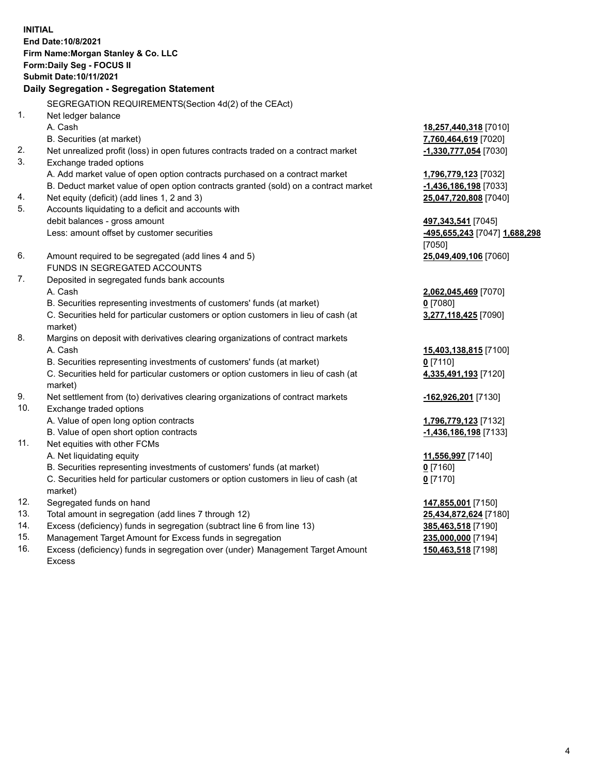**INITIAL End Date:10/8/2021 Firm Name:Morgan Stanley & Co. LLC Form:Daily Seg - FOCUS II Submit Date:10/11/2021 Daily Segregation - Segregation Statement** SEGREGATION REQUIREMENTS(Section 4d(2) of the CEAct) 1. Net ledger balance A. Cash **18,257,440,318** [7010] B. Securities (at market) **7,760,464,619** [7020] 2. Net unrealized profit (loss) in open futures contracts traded on a contract market **-1,330,777,054** [7030] 3. Exchange traded options A. Add market value of open option contracts purchased on a contract market **1,796,779,123** [7032] B. Deduct market value of open option contracts granted (sold) on a contract market **-1,436,186,198** [7033] 4. Net equity (deficit) (add lines 1, 2 and 3) **25,047,720,808** [7040] 5. Accounts liquidating to a deficit and accounts with debit balances - gross amount **497,343,541** [7045] Less: amount offset by customer securities **-495,655,243** [7047] **1,688,298** [7050] 6. Amount required to be segregated (add lines 4 and 5) **25,049,409,106** [7060] FUNDS IN SEGREGATED ACCOUNTS 7. Deposited in segregated funds bank accounts A. Cash **2,062,045,469** [7070] B. Securities representing investments of customers' funds (at market) **0** [7080] C. Securities held for particular customers or option customers in lieu of cash (at market) **3,277,118,425** [7090] 8. Margins on deposit with derivatives clearing organizations of contract markets A. Cash **15,403,138,815** [7100] B. Securities representing investments of customers' funds (at market) **0** [7110] C. Securities held for particular customers or option customers in lieu of cash (at market) **4,335,491,193** [7120] 9. Net settlement from (to) derivatives clearing organizations of contract markets **-162,926,201** [7130] 10. Exchange traded options A. Value of open long option contracts **1,796,779,123** [7132] B. Value of open short option contracts **and the set of our of the set of our of the set of the set of the set of the set of the set of the set of the set of the set of the set of the set of the set of the set of the set o** 11. Net equities with other FCMs A. Net liquidating equity **11,556,997** [7140] B. Securities representing investments of customers' funds (at market) **0** [7160] C. Securities held for particular customers or option customers in lieu of cash (at market) **0** [7170] 12. Segregated funds on hand **147,855,001** [7150] 13. Total amount in segregation (add lines 7 through 12) **25,434,872,624** [7180] 14. Excess (deficiency) funds in segregation (subtract line 6 from line 13) **385,463,518** [7190] 15. Management Target Amount for Excess funds in segregation **235,000,000** [7194]

16. Excess (deficiency) funds in segregation over (under) Management Target Amount Excess

**150,463,518** [7198]